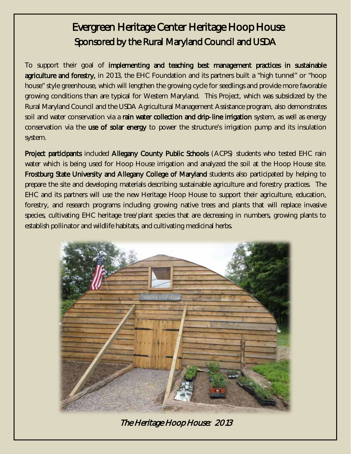## Evergreen Heritage Center Heritage Hoop House Sponsored by the Rural Maryland Council and USDA

To support their goal of implementing and teaching best management practices in sustainable agriculture and forestry, in 2013, the EHC Foundation and its partners built a "high tunnel" or "hoop house" style greenhouse, which will lengthen the growing cycle for seedlings and provide more favorable growing conditions than are typical for Western Maryland. This Project, which was subsidized by the Rural Maryland Council and the USDA Agricultural Management Assistance program, also demonstrates soil and water conservation via a rain water collection and drip-line irrigation system, as well as energy conservation via the use of solar energy to power the structure's irrigation pump and its insulation system.

Project participants included Allegany County Public Schools (ACPS) students who tested EHC rain water which is being used for Hoop House irrigation and analyzed the soil at the Hoop House site. Frostburg State University and Allegany College of Maryland students also participated by helping to prepare the site and developing materials describing sustainable agriculture and forestry practices. The EHC and its partners will use the new Heritage Hoop House to support their agriculture, education, forestry, and research programs including growing native trees and plants that will replace invasive species, cultivating EHC heritage tree/plant species that are decreasing in numbers, growing plants to establish pollinator and wildlife habitats, and cultivating medicinal herbs.



The Heritage Hoop House: 2013